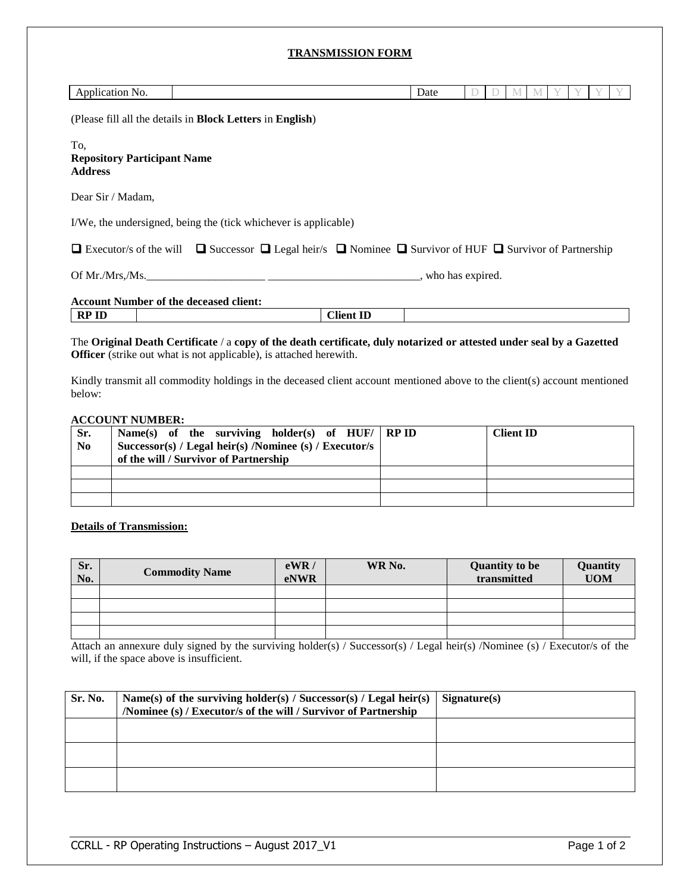# **TRANSMISSION FORM**

| Application No.                                                                                                                         |  |                                                                                                                | Date |  |  | M |  |  |
|-----------------------------------------------------------------------------------------------------------------------------------------|--|----------------------------------------------------------------------------------------------------------------|------|--|--|---|--|--|
| (Please fill all the details in <b>Block Letters</b> in <b>English</b> )                                                                |  |                                                                                                                |      |  |  |   |  |  |
| To.<br><b>Repository Participant Name</b><br><b>Address</b>                                                                             |  |                                                                                                                |      |  |  |   |  |  |
| Dear Sir / Madam,                                                                                                                       |  |                                                                                                                |      |  |  |   |  |  |
| I/We, the undersigned, being the (tick whichever is applicable)                                                                         |  |                                                                                                                |      |  |  |   |  |  |
| $\Box$ Executor/s of the will $\Box$ Successor $\Box$ Legal heir/s $\Box$ Nominee $\Box$ Survivor of HUF $\Box$ Survivor of Partnership |  |                                                                                                                |      |  |  |   |  |  |
| Of Mr./Mrs./Ms. who has expired.                                                                                                        |  |                                                                                                                |      |  |  |   |  |  |
| <b>Account Number of the deceased client:</b>                                                                                           |  |                                                                                                                |      |  |  |   |  |  |
| <b>RP ID</b>                                                                                                                            |  | <b>Client ID</b>                                                                                               |      |  |  |   |  |  |
|                                                                                                                                         |  | فالمستحدث والمتحاول والمتحافظ والمتحاف والمتحاف والمتحدث والمتحاف والمتحاف والمتحاف والمتحاف والمتحاف والمتحاف |      |  |  |   |  |  |

The **Original Death Certificate** / a **copy of the death certificate, duly notarized or attested under seal by a Gazetted Officer** (strike out what is not applicable), is attached herewith.

Kindly transmit all commodity holdings in the deceased client account mentioned above to the client(s) account mentioned below:

#### **ACCOUNT NUMBER:**

| Sr.<br>N <sub>0</sub> | Name(s) of the surviving holder(s) of $HUF /  RPID$<br>Successor(s) / Legal heir(s) /Nominee (s) / Executor/s<br>of the will / Survivor of Partnership | <b>Client ID</b> |
|-----------------------|--------------------------------------------------------------------------------------------------------------------------------------------------------|------------------|
|                       |                                                                                                                                                        |                  |
|                       |                                                                                                                                                        |                  |
|                       |                                                                                                                                                        |                  |

### **Details of Transmission:**

| Sr.<br>No. | <b>Commodity Name</b> | eWR/<br><b>eNWR</b> | WR No. | <b>Quantity to be</b><br>transmitted | Quantity<br><b>UOM</b> |
|------------|-----------------------|---------------------|--------|--------------------------------------|------------------------|
|            |                       |                     |        |                                      |                        |
|            |                       |                     |        |                                      |                        |
|            |                       |                     |        |                                      |                        |
|            |                       |                     |        |                                      |                        |

Attach an annexure duly signed by the surviving holder(s) / Successor(s) / Legal heir(s) /Nominee (s) / Executor/s of the will, if the space above is insufficient.

| Sr. No. | Name(s) of the surviving holder(s) / Successor(s) / Legal heir(s)<br>/Nominee (s) / Executor/s of the will / Survivor of Partnership | Signature(s) |
|---------|--------------------------------------------------------------------------------------------------------------------------------------|--------------|
|         |                                                                                                                                      |              |
|         |                                                                                                                                      |              |
|         |                                                                                                                                      |              |